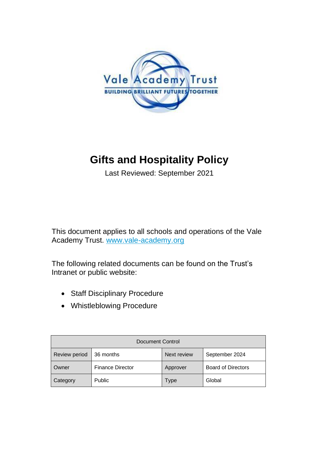

# **Gifts and Hospitality Policy**

Last Reviewed: September 2021

This document applies to all schools and operations of the Vale Academy Trust. [www.vale-academy.org](http://www.vale-academy.org/)

The following related documents can be found on the Trust's Intranet or public website:

- Staff Disciplinary Procedure
- Whistleblowing Procedure

| Document Control     |                         |             |                           |  |  |  |
|----------------------|-------------------------|-------------|---------------------------|--|--|--|
| <b>Review period</b> | 36 months               | Next review | September 2024            |  |  |  |
| Owner                | <b>Finance Director</b> | Approver    | <b>Board of Directors</b> |  |  |  |
| Category             | Public                  | Type        | Global                    |  |  |  |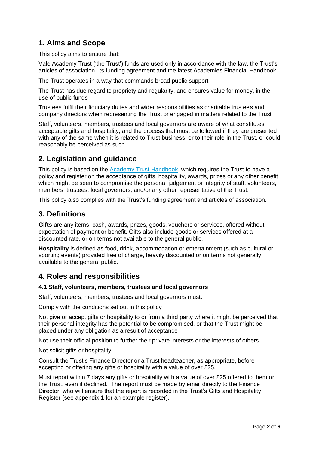# **1. Aims and Scope**

This policy aims to ensure that:

Vale Academy Trust ('the Trust') funds are used only in accordance with the law, the Trust's articles of association, its funding agreement and the latest Academies Financial Handbook

The Trust operates in a way that commands broad public support

The Trust has due regard to propriety and regularity, and ensures value for money, in the use of public funds

Trustees fulfil their fiduciary duties and wider responsibilities as charitable trustees and company directors when representing the Trust or engaged in matters related to the Trust

Staff, volunteers, members, trustees and local governors are aware of what constitutes acceptable gifts and hospitality, and the process that must be followed if they are presented with any of the same when it is related to Trust business, or to their role in the Trust, or could reasonably be perceived as such.

# **2. Legislation and guidance**

This policy is based on the [Academy Trust Handbook,](https://www.gov.uk/government/publications/academies-financial-handbook) which requires the Trust to have a policy and register on the acceptance of gifts, hospitality, awards, prizes or any other benefit which might be seen to compromise the personal judgement or integrity of staff, volunteers, members, trustees, local governors, and/or any other representative of the Trust.

This policy also complies with the Trust's funding agreement and articles of association.

# **3. Definitions**

**Gifts** are any items, cash, awards, prizes, goods, vouchers or services, offered without expectation of payment or benefit. Gifts also include goods or services offered at a discounted rate, or on terms not available to the general public.

**Hospitality** is defined as food, drink, accommodation or entertainment (such as cultural or sporting events) provided free of charge, heavily discounted or on terms not generally available to the general public.

## **4. Roles and responsibilities**

## **4.1 Staff, volunteers, members, trustees and local governors**

Staff, volunteers, members, trustees and local governors must:

Comply with the conditions set out in this policy

Not give or accept gifts or hospitality to or from a third party where it might be perceived that their personal integrity has the potential to be compromised, or that the Trust might be placed under any obligation as a result of acceptance

Not use their official position to further their private interests or the interests of others

Not solicit gifts or hospitality

Consult the Trust's Finance Director or a Trust headteacher, as appropriate, before accepting or offering any gifts or hospitality with a value of over £25.

Must report within 7 days any gifts or hospitality with a value of over £25 offered to them or the Trust, even if declined. The report must be made by email directly to the Finance Director, who will ensure that the report is recorded in the Trust's Gifts and Hospitality Register (see appendix 1 for an example register).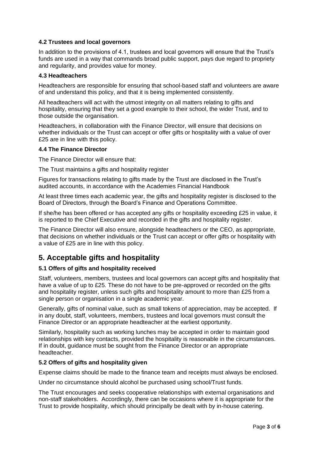## **4.2 Trustees and local governors**

In addition to the provisions of 4.1, trustees and local governors will ensure that the Trust's funds are used in a way that commands broad public support, pays due regard to propriety and regularity, and provides value for money.

### **4.3 Headteachers**

Headteachers are responsible for ensuring that school-based staff and volunteers are aware of and understand this policy, and that it is being implemented consistently.

All headteachers will act with the utmost integrity on all matters relating to gifts and hospitality, ensuring that they set a good example to their school, the wider Trust, and to those outside the organisation.

Headteachers, in collaboration with the Finance Director, will ensure that decisions on whether individuals or the Trust can accept or offer gifts or hospitality with a value of over £25 are in line with this policy.

### **4.4 The Finance Director**

The Finance Director will ensure that:

The Trust maintains a gifts and hospitality register

Figures for transactions relating to gifts made by the Trust are disclosed in the Trust's audited accounts, in accordance with the Academies Financial Handbook

At least three times each academic year, the gifts and hospitality register is disclosed to the Board of Directors, through the Board's Finance and Operations Committee.

If she/he has been offered or has accepted any gifts or hospitality exceeding £25 in value, it is reported to the Chief Executive and recorded in the gifts and hospitality register.

The Finance Director will also ensure, alongside headteachers or the CEO, as appropriate, that decisions on whether individuals or the Trust can accept or offer gifts or hospitality with a value of £25 are in line with this policy.

## **5. Acceptable gifts and hospitality**

## **5.1 Offers of gifts and hospitality received**

Staff, volunteers, members, trustees and local governors can accept gifts and hospitality that have a value of up to £25. These do not have to be pre-approved or recorded on the gifts and hospitality register, unless such gifts and hospitality amount to more than £25 from a single person or organisation in a single academic year.

Generally, gifts of nominal value, such as small tokens of appreciation, may be accepted. If in any doubt, staff, volunteers, members, trustees and local governors must consult the Finance Director or an appropriate headteacher at the earliest opportunity.

Similarly, hospitality such as working lunches may be accepted in order to maintain good relationships with key contacts, provided the hospitality is reasonable in the circumstances. If in doubt, guidance must be sought from the Finance Director or an appropriate headteacher.

#### **5.2 Offers of gifts and hospitality given**

Expense claims should be made to the finance team and receipts must always be enclosed.

Under no circumstance should alcohol be purchased using school/Trust funds.

The Trust encourages and seeks cooperative relationships with external organisations and non-staff stakeholders. Accordingly, there can be occasions where it is appropriate for the Trust to provide hospitality, which should principally be dealt with by in-house catering.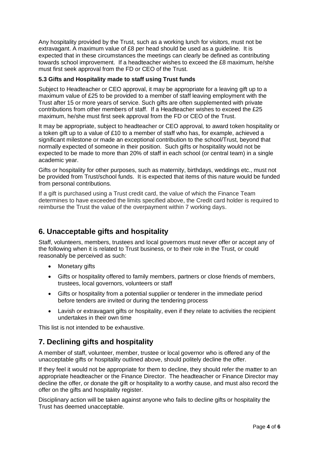Any hospitality provided by the Trust, such as a working lunch for visitors, must not be extravagant. A maximum value of £8 per head should be used as a guideline. It is expected that in these circumstances the meetings can clearly be defined as contributing towards school improvement. If a headteacher wishes to exceed the £8 maximum, he/she must first seek approval from the FD or CEO of the Trust.

## **5.3 Gifts and Hospitality made to staff using Trust funds**

Subject to Headteacher or CEO approval, it may be appropriate for a leaving gift up to a maximum value of £25 to be provided to a member of staff leaving employment with the Trust after 15 or more years of service. Such gifts are often supplemented with private contributions from other members of staff. If a Headteacher wishes to exceed the £25 maximum, he/she must first seek approval from the FD or CEO of the Trust.

It may be appropriate, subject to headteacher or CEO approval, to award token hospitality or a token gift up to a value of £10 to a member of staff who has, for example, achieved a significant milestone or made an exceptional contribution to the school/Trust, beyond that normally expected of someone in their position. Such gifts or hospitality would not be expected to be made to more than 20% of staff in each school (or central team) in a single academic year.

Gifts or hospitality for other purposes, such as maternity, birthdays, weddings etc., must not be provided from Trust/school funds. It is expected that items of this nature would be funded from personal contributions.

If a gift is purchased using a Trust credit card, the value of which the Finance Team determines to have exceeded the limits specified above, the Credit card holder is required to reimburse the Trust the value of the overpayment within 7 working days.

# **6. Unacceptable gifts and hospitality**

Staff, volunteers, members, trustees and local governors must never offer or accept any of the following when it is related to Trust business, or to their role in the Trust, or could reasonably be perceived as such:

- Monetary gifts
- Gifts or hospitality offered to family members, partners or close friends of members, trustees, local governors, volunteers or staff
- Gifts or hospitality from a potential supplier or tenderer in the immediate period before tenders are invited or during the tendering process
- Lavish or extravagant gifts or hospitality, even if they relate to activities the recipient undertakes in their own time

This list is not intended to be exhaustive.

# **7. Declining gifts and hospitality**

A member of staff, volunteer, member, trustee or local governor who is offered any of the unacceptable gifts or hospitality outlined above, should politely decline the offer.

If they feel it would not be appropriate for them to decline, they should refer the matter to an appropriate headteacher or the Finance Director. The headteacher or Finance Director may decline the offer, or donate the gift or hospitality to a worthy cause, and must also record the offer on the gifts and hospitality register.

Disciplinary action will be taken against anyone who fails to decline gifts or hospitality the Trust has deemed unacceptable.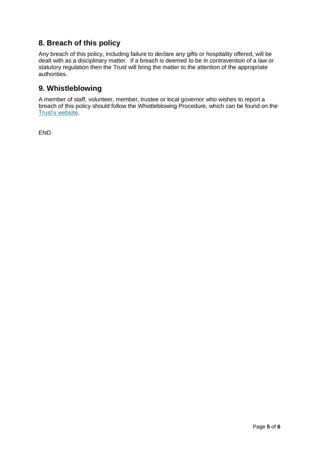# **8. Breach of this policy**

Any breach of this policy, including failure to declare any gifts or hospitality offered, will be dealt with as a disciplinary matter. If a breach is deemed to be in contravention of a law or statutory regulation then the Trust will bring the matter to the attention of the appropriate authorities.

# **9. Whistleblowing**

A member of staff, volunteer, member, trustee or local governor who wishes to report a breach of this policy should follow the Whistleblowing Procedure, which can be found on the [Trust's website.](http://www.vale-academy.org/)

END